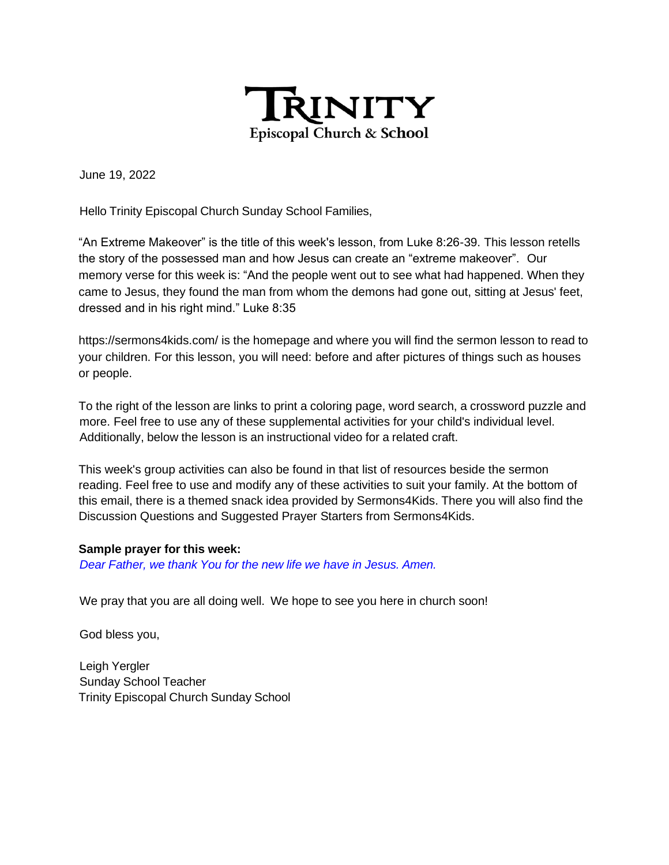

June 19, 2022

Hello Trinity Episcopal Church Sunday School Families,

"An Extreme Makeover" is the title of this week's lesson, from Luke 8:26-39. This lesson retells the story of the possessed man and how Jesus can create an "extreme makeover". Our memory verse for this week is: "And the people went out to see what had happened. When they came to Jesus, they found the man from whom the demons had gone out, sitting at Jesus' feet, dressed and in his right mind." Luke 8:35

https://sermons4kids.com/ is the homepage and where you will find the sermon lesson to read to your children. For this lesson, you will need: before and after pictures of things such as houses or people.

To the right of the lesson are links to print a coloring page, word search, a crossword puzzle and more. Feel free to use any of these supplemental activities for your child's individual level. Additionally, below the lesson is an instructional video for a related craft.

This week's group activities can also be found in that list of resources beside the sermon reading. Feel free to use and modify any of these activities to suit your family. At the bottom of this email, there is a themed snack idea provided by Sermons4Kids. There you will also find the Discussion Questions and Suggested Prayer Starters from Sermons4Kids.

#### **Sample prayer for this week:**

*Dear Father, we thank You for the new life we have in Jesus. Amen.*

We pray that you are all doing well. We hope to see you here in church soon!

God bless you,

Leigh Yergler Sunday School Teacher Trinity Episcopal Church Sunday School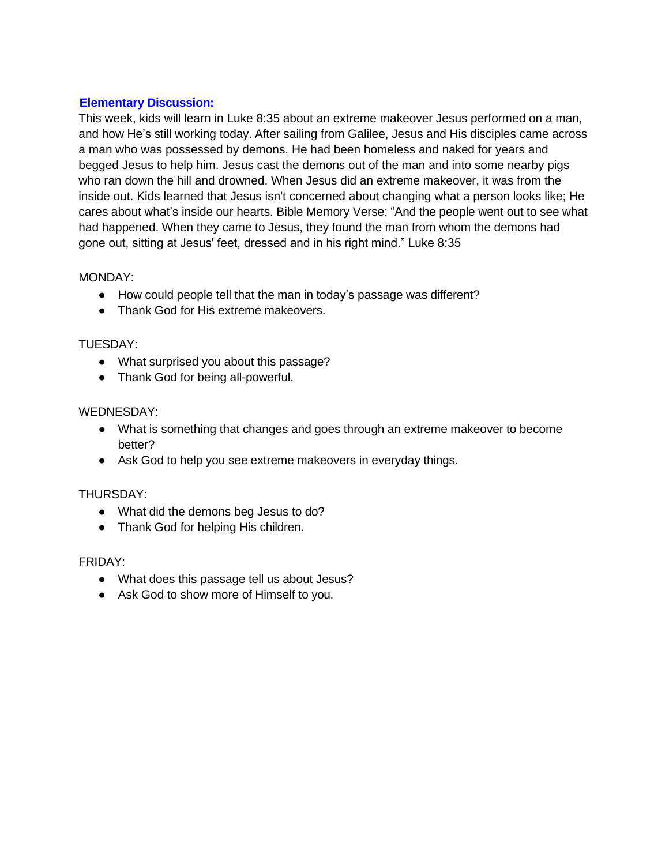# **Elementary Discussion:**

This week, kids will learn in Luke 8:35 about an extreme makeover Jesus performed on a man, and how He's still working today. After sailing from Galilee, Jesus and His disciples came across a man who was possessed by demons. He had been homeless and naked for years and begged Jesus to help him. Jesus cast the demons out of the man and into some nearby pigs who ran down the hill and drowned. When Jesus did an extreme makeover, it was from the inside out. Kids learned that Jesus isn't concerned about changing what a person looks like; He cares about what's inside our hearts. Bible Memory Verse: "And the people went out to see what had happened. When they came to Jesus, they found the man from whom the demons had gone out, sitting at Jesus' feet, dressed and in his right mind." Luke 8:35

# MONDAY:

- How could people tell that the man in today's passage was different?
- Thank God for His extreme makeovers.

# TUESDAY:

- What surprised you about this passage?
- Thank God for being all-powerful.

# WEDNESDAY:

- What is something that changes and goes through an extreme makeover to become better?
- Ask God to help you see extreme makeovers in everyday things.

#### THURSDAY:

- What did the demons beg Jesus to do?
- Thank God for helping His children.

#### FRIDAY:

- What does this passage tell us about Jesus?
- Ask God to show more of Himself to you.